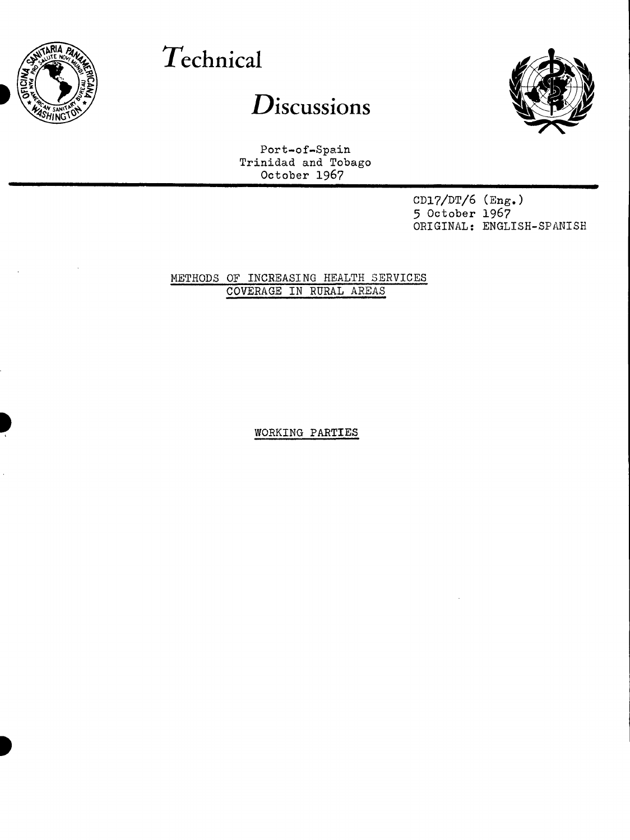

# **Technical**

## $D$ *iscussions*



Port-of-Spain Trinidad and Tobago October 1967

> $CD17/DT/6$  (Eng.) 5 October 1967 ORIGINAL: ENGLISH-SPANISH

METHODS OF INCREASING HEALTH SERVICES COVERAGE IN RURAL AREAS

WORKING **PARTIES**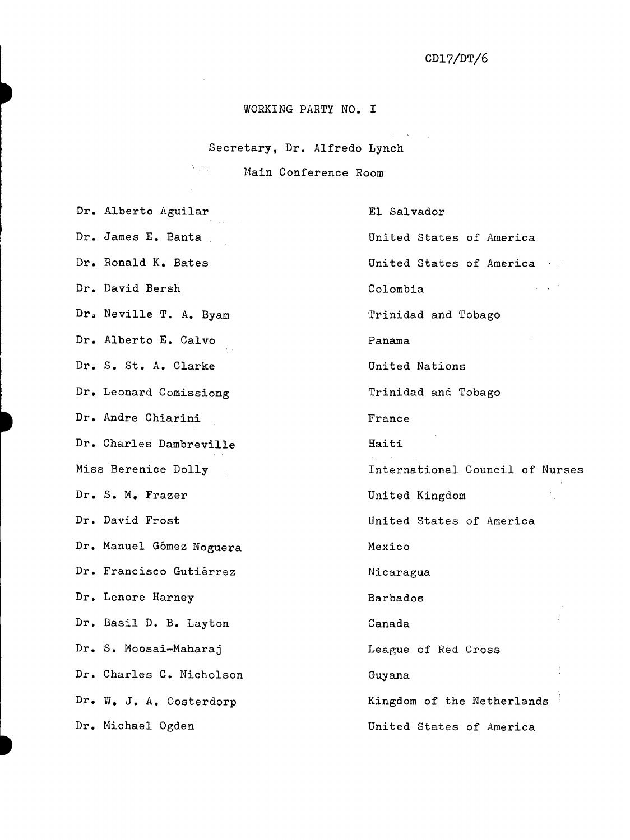$\mathcal{L}(\mathcal{H})$  ,  $\mathcal{H}(\mathcal{H})$  ,  $\mathcal{L}(\mathcal{H})$ 

## WORKING PARTY NO. I

Secretary, Dr. Alfredo Lynch

**Main Conference Room** 

| Dr. Alberto Aguilar      | El Salvador                     |
|--------------------------|---------------------------------|
| Dr. James E. Banta       | United States of America        |
| Dr. Ronald K. Bates      | United States of America        |
| Dr. David Bersh          | Colombia                        |
| Dr. Neville T. A. Byam   | Trinidad and Tobago             |
| Dr. Alberto E. Calvo     | Panama                          |
| Dr. S. St. A. Clarke     | United Nations                  |
| Dr. Leonard Comissiong   | Trinidad and Tobago             |
| Dr. Andre Chiarini       | France                          |
| Dr. Charles Dambreville  | Haiti                           |
| Miss Berenice Dolly      | International Council of Nurses |
| Dr. S. M. Frazer         | United Kingdom                  |
| Dr. David Frost          | United States of America        |
| Dr. Manuel Gómez Noguera | Mexico                          |
| Dr. Francisco Gutiérrez  | Nicaragua                       |
| Dr. Lenore Harney        | Barbados                        |
| Dr. Basil D. B. Layton   | Canada                          |
| Dr. S. Moosai-Maharaj    | League of Red Cross             |
| Dr. Charles C. Nicholson | Guyana                          |
| Dr. W. J. A. Oosterdorp  | Kingdom of the Netherlands      |
| Dr. Michael Ogden        | United States of America        |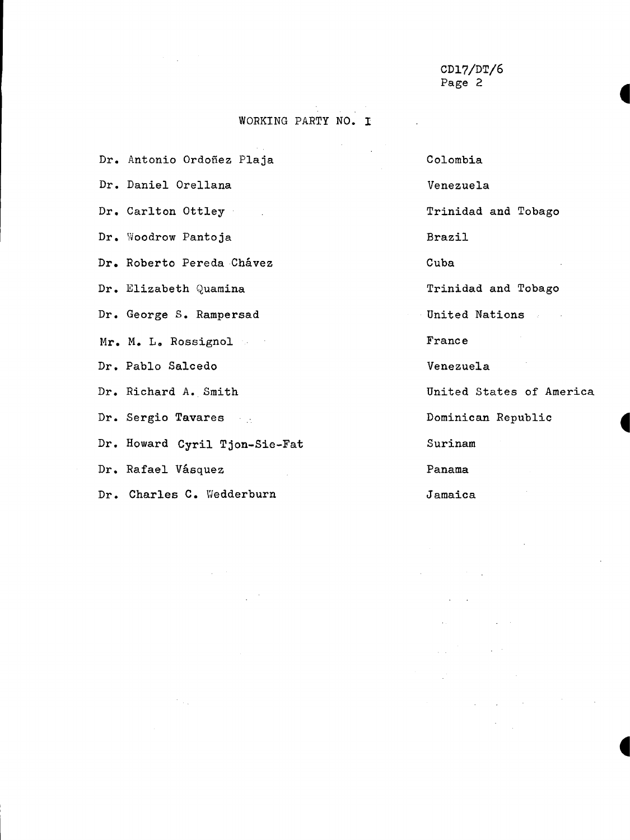**4**

**4**

**4**

#### WORKING PARTY NO. I

 $\sim 10^4$ 

Dr. Antonio Ordoñez Plaja

Dr. Daniel Orellana

Dr. Carlton Ottley

Woodrow Pantoja Dr.

Dr. Roberto Pereda Chávez

Elizabeth Quamina Dr.

Dr. George S. Rampersad

Mr. M. L. Rossignol

Dr. Pablo Salcedo

Dr. Richard A. Smith

Dr. Sergio Tavares

Dr. Howard Cyril Tjon-Sie-Fat

Dr. Rafael Vásquez

Charles C. Wedderburn Dr.

Colombia Venezuela Trinidad and Tobago Brazil Cuba Trinidad and Tobago United Nations France Venezuela United States of America Dominican Republic Surinam Panama

Jamaica

 $\label{eq:2.1} \frac{1}{\sqrt{2\pi}}\frac{1}{\sqrt{2\pi}}\frac{1}{\sqrt{2\pi}}\frac{1}{\sqrt{2\pi}}\frac{1}{\sqrt{2\pi}}\frac{1}{\sqrt{2\pi}}\frac{1}{\sqrt{2\pi}}\frac{1}{\sqrt{2\pi}}\frac{1}{\sqrt{2\pi}}\frac{1}{\sqrt{2\pi}}\frac{1}{\sqrt{2\pi}}\frac{1}{\sqrt{2\pi}}\frac{1}{\sqrt{2\pi}}\frac{1}{\sqrt{2\pi}}\frac{1}{\sqrt{2\pi}}\frac{1}{\sqrt{2\pi}}\frac{1}{\sqrt{2\pi}}\frac{1}{\sqrt$ 

 $\mathbb{R}^3$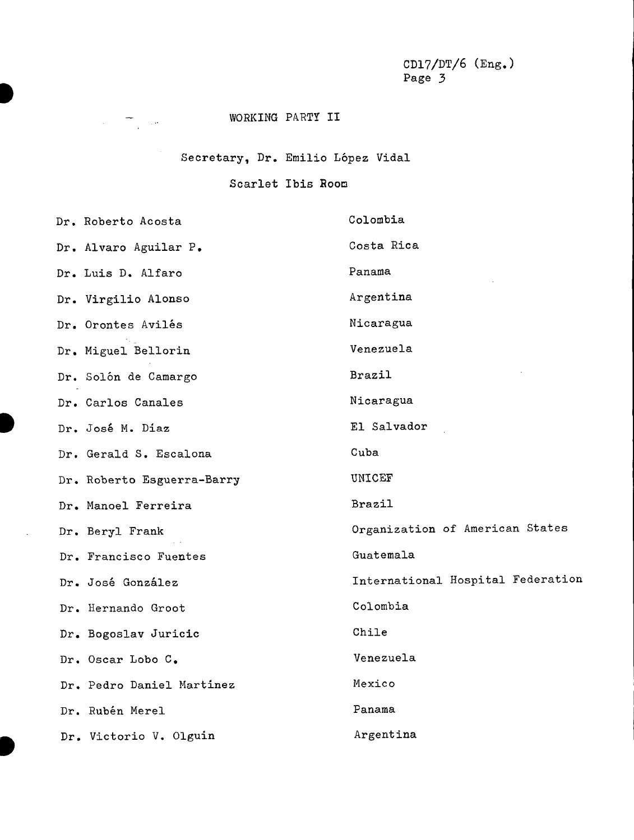CDl7/DT/6 (Eng.) Page 3

### WORKING PARTY II

 $\label{eq:2.1} \frac{1}{\sqrt{2}}\left(\frac{1}{\sqrt{2}}\right)^{2} \frac{1}{\sqrt{2}}\left(\frac{1}{\sqrt{2}}\right)^{2} \frac{1}{\sqrt{2}}\left(\frac{1}{\sqrt{2}}\right)^{2} \frac{1}{\sqrt{2}}\left(\frac{1}{\sqrt{2}}\right)^{2} \frac{1}{\sqrt{2}}\left(\frac{1}{\sqrt{2}}\right)^{2} \frac{1}{\sqrt{2}}\left(\frac{1}{\sqrt{2}}\right)^{2} \frac{1}{\sqrt{2}}\left(\frac{1}{\sqrt{2}}\right)^{2} \frac{1}{\sqrt{2}}\left(\frac{$ 

Secretary, Dr. Emilio López Vidal

#### Scarlet Ibis Room

| Dr. Roberto Acosta         | Colombia                          |
|----------------------------|-----------------------------------|
| Dr. Alvaro Aguilar P.      | Costa Rica                        |
| Dr. Luis D. Alfaro         | Panama                            |
| Dr. Virgilio Alonso        | Argentina                         |
| Dr. Orontes Avilés         | Nicaragua                         |
| Dr. Miguel Bellorin        | Venezuela                         |
| Dr. Solón de Camargo       | Brazil                            |
| Dr. Carlos Canales         | Nicaragua                         |
| Dr. José M. Diaz           | El Salvador                       |
| Dr. Gerald S. Escalona     | Cuba                              |
| Dr. Roberto Esguerra-Barry | UNICEF                            |
| Dr. Manoel Ferreira        | Brazil                            |
| Dr. Beryl Frank            | Organization of American States   |
| Dr. Francisco Fuentes      | Guatemala                         |
| Dr. José González          | International Hospital Federation |
| Dr. Hernando Groot         | Colombia                          |
| Dr. Bogoslav Juricic       | Chile                             |
| Dr. Oscar Lobo C.          | Venezuela                         |
| Dr. Pedro Daniel Martinez  | Mexico                            |
| Dr. Rubén Merel            | Panama                            |
| Dr. Victorio V. Olguin     | Argentina                         |